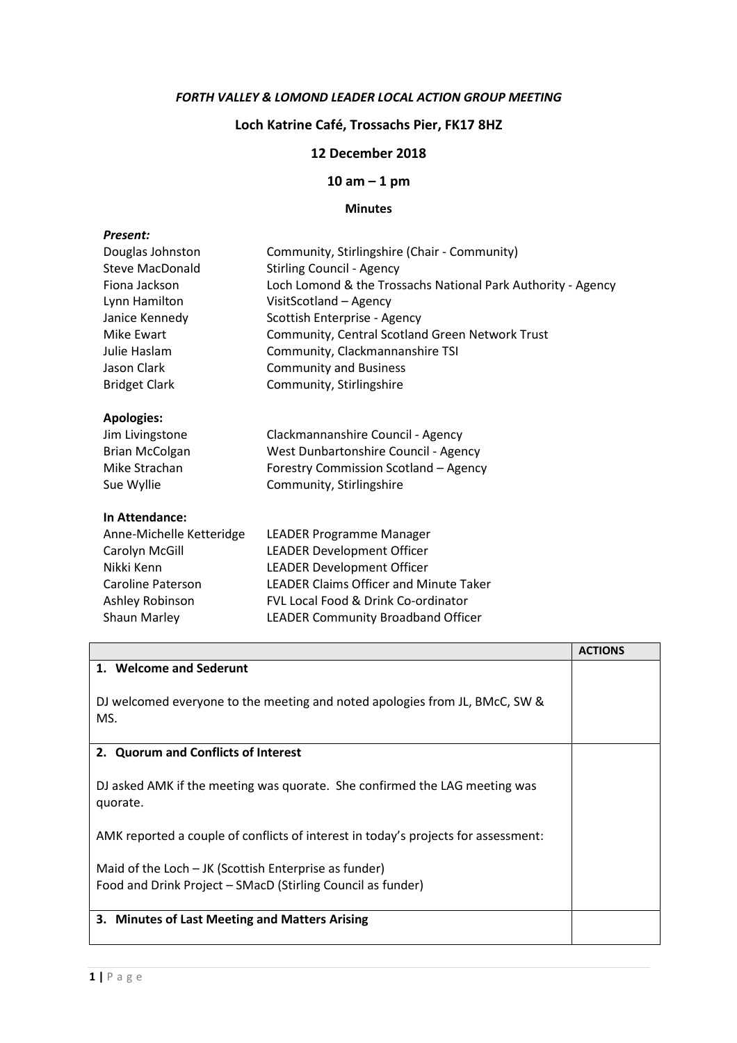#### FORTH VALLEY & LOMOND LEADER LOCAL ACTION GROUP MEETING

# Loch Katrine Café, Trossachs Pier, FK17 8HZ

### 12 December 2018

### 10 am – 1 pm

## Minutes

| Present:                 |                                                              |
|--------------------------|--------------------------------------------------------------|
| Douglas Johnston         | Community, Stirlingshire (Chair - Community)                 |
| <b>Steve MacDonald</b>   | <b>Stirling Council - Agency</b>                             |
| Fiona Jackson            | Loch Lomond & the Trossachs National Park Authority - Agency |
| Lynn Hamilton            | VisitScotland - Agency                                       |
| Janice Kennedy           | Scottish Enterprise - Agency                                 |
| Mike Ewart               | Community, Central Scotland Green Network Trust              |
| Julie Haslam             | Community, Clackmannanshire TSI                              |
| Jason Clark              | <b>Community and Business</b>                                |
| <b>Bridget Clark</b>     | Community, Stirlingshire                                     |
| <b>Apologies:</b>        |                                                              |
| Jim Livingstone          | Clackmannanshire Council - Agency                            |
| <b>Brian McColgan</b>    | West Dunbartonshire Council - Agency                         |
| Mike Strachan            | Forestry Commission Scotland - Agency                        |
| Sue Wyllie               | Community, Stirlingshire                                     |
| In Attendance:           |                                                              |
| Anne-Michelle Ketteridge | LEADER Programme Manager                                     |
| Carolyn McGill           | <b>LEADER Development Officer</b>                            |
| Nikki Kenn               | <b>LEADER Development Officer</b>                            |
| Caroline Paterson        | <b>LEADER Claims Officer and Minute Taker</b>                |
| Ashley Robinson          | FVL Local Food & Drink Co-ordinator                          |

Shaun Marley LEADER Community Broadband Officer

|                                                                                                                        | <b>ACTIONS</b> |
|------------------------------------------------------------------------------------------------------------------------|----------------|
| 1. Welcome and Sederunt                                                                                                |                |
| DJ welcomed everyone to the meeting and noted apologies from JL, BMcC, SW &<br>MS.                                     |                |
| 2. Quorum and Conflicts of Interest                                                                                    |                |
| DJ asked AMK if the meeting was quorate. She confirmed the LAG meeting was<br>quorate.                                 |                |
| AMK reported a couple of conflicts of interest in today's projects for assessment:                                     |                |
| Maid of the Loch $-$ JK (Scottish Enterprise as funder)<br>Food and Drink Project – SMacD (Stirling Council as funder) |                |
| 3. Minutes of Last Meeting and Matters Arising                                                                         |                |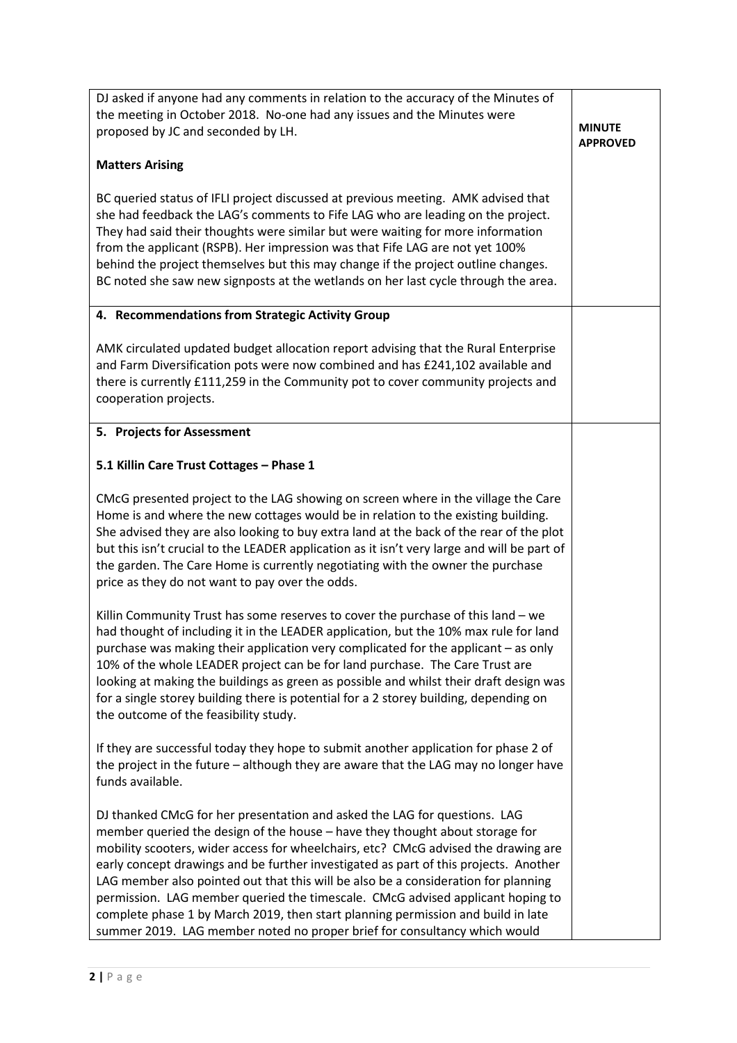| DJ asked if anyone had any comments in relation to the accuracy of the Minutes of<br>the meeting in October 2018. No-one had any issues and the Minutes were<br>proposed by JC and seconded by LH.                                                                                                                                                                                                                                                                                                                                                                                                                                                                               | <b>MINUTE</b><br><b>APPROVED</b> |
|----------------------------------------------------------------------------------------------------------------------------------------------------------------------------------------------------------------------------------------------------------------------------------------------------------------------------------------------------------------------------------------------------------------------------------------------------------------------------------------------------------------------------------------------------------------------------------------------------------------------------------------------------------------------------------|----------------------------------|
| <b>Matters Arising</b>                                                                                                                                                                                                                                                                                                                                                                                                                                                                                                                                                                                                                                                           |                                  |
| BC queried status of IFLI project discussed at previous meeting. AMK advised that<br>she had feedback the LAG's comments to Fife LAG who are leading on the project.<br>They had said their thoughts were similar but were waiting for more information<br>from the applicant (RSPB). Her impression was that Fife LAG are not yet 100%<br>behind the project themselves but this may change if the project outline changes.<br>BC noted she saw new signposts at the wetlands on her last cycle through the area.                                                                                                                                                               |                                  |
| 4. Recommendations from Strategic Activity Group                                                                                                                                                                                                                                                                                                                                                                                                                                                                                                                                                                                                                                 |                                  |
| AMK circulated updated budget allocation report advising that the Rural Enterprise<br>and Farm Diversification pots were now combined and has £241,102 available and<br>there is currently £111,259 in the Community pot to cover community projects and<br>cooperation projects.                                                                                                                                                                                                                                                                                                                                                                                                |                                  |
| 5. Projects for Assessment                                                                                                                                                                                                                                                                                                                                                                                                                                                                                                                                                                                                                                                       |                                  |
| 5.1 Killin Care Trust Cottages - Phase 1                                                                                                                                                                                                                                                                                                                                                                                                                                                                                                                                                                                                                                         |                                  |
| CMcG presented project to the LAG showing on screen where in the village the Care<br>Home is and where the new cottages would be in relation to the existing building.<br>She advised they are also looking to buy extra land at the back of the rear of the plot<br>but this isn't crucial to the LEADER application as it isn't very large and will be part of<br>the garden. The Care Home is currently negotiating with the owner the purchase<br>price as they do not want to pay over the odds.                                                                                                                                                                            |                                  |
| Killin Community Trust has some reserves to cover the purchase of this land - we<br>had thought of including it in the LEADER application, but the 10% max rule for land<br>purchase was making their application very complicated for the applicant - as only<br>10% of the whole LEADER project can be for land purchase. The Care Trust are<br>looking at making the buildings as green as possible and whilst their draft design was<br>for a single storey building there is potential for a 2 storey building, depending on<br>the outcome of the feasibility study.                                                                                                       |                                  |
| If they are successful today they hope to submit another application for phase 2 of<br>the project in the future - although they are aware that the LAG may no longer have<br>funds available.                                                                                                                                                                                                                                                                                                                                                                                                                                                                                   |                                  |
| DJ thanked CMcG for her presentation and asked the LAG for questions. LAG<br>member queried the design of the house - have they thought about storage for<br>mobility scooters, wider access for wheelchairs, etc? CMcG advised the drawing are<br>early concept drawings and be further investigated as part of this projects. Another<br>LAG member also pointed out that this will be also be a consideration for planning<br>permission. LAG member queried the timescale. CMcG advised applicant hoping to<br>complete phase 1 by March 2019, then start planning permission and build in late<br>summer 2019. LAG member noted no proper brief for consultancy which would |                                  |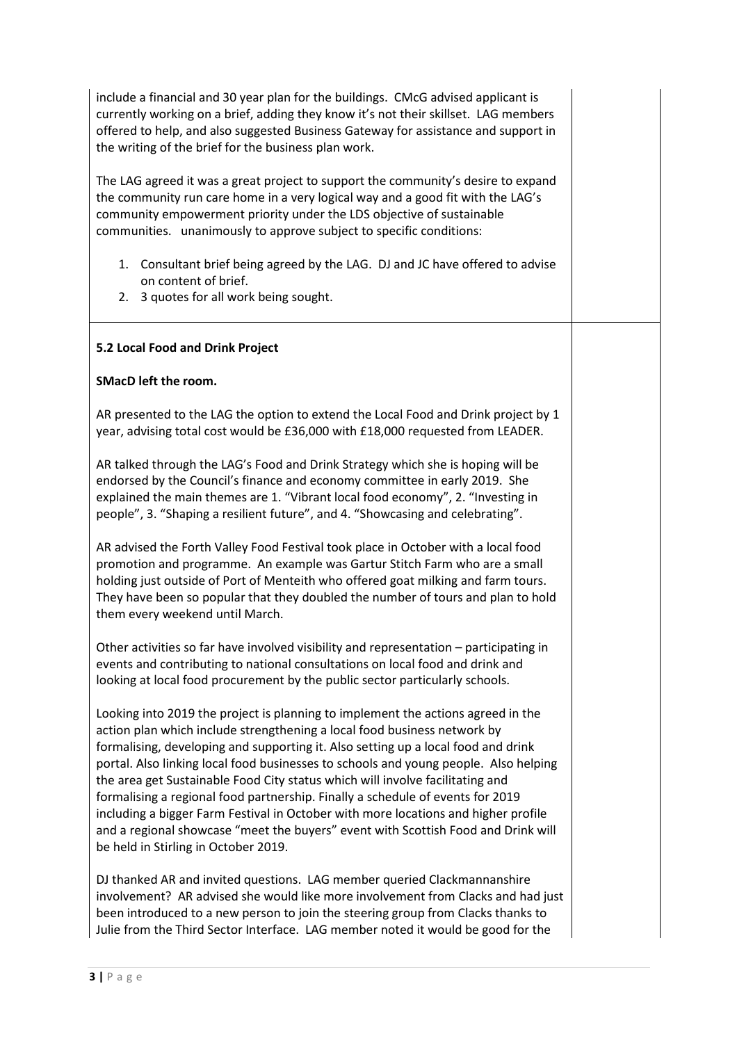| include a financial and 30 year plan for the buildings. CMcG advised applicant is<br>currently working on a brief, adding they know it's not their skillset. LAG members<br>offered to help, and also suggested Business Gateway for assistance and support in<br>the writing of the brief for the business plan work.<br>The LAG agreed it was a great project to support the community's desire to expand<br>the community run care home in a very logical way and a good fit with the LAG's<br>community empowerment priority under the LDS objective of sustainable                                                                                                                                                         |  |
|---------------------------------------------------------------------------------------------------------------------------------------------------------------------------------------------------------------------------------------------------------------------------------------------------------------------------------------------------------------------------------------------------------------------------------------------------------------------------------------------------------------------------------------------------------------------------------------------------------------------------------------------------------------------------------------------------------------------------------|--|
| communities. unanimously to approve subject to specific conditions:                                                                                                                                                                                                                                                                                                                                                                                                                                                                                                                                                                                                                                                             |  |
| 1. Consultant brief being agreed by the LAG. DJ and JC have offered to advise<br>on content of brief.<br>3 quotes for all work being sought.<br>2.                                                                                                                                                                                                                                                                                                                                                                                                                                                                                                                                                                              |  |
| 5.2 Local Food and Drink Project                                                                                                                                                                                                                                                                                                                                                                                                                                                                                                                                                                                                                                                                                                |  |
| SMacD left the room.                                                                                                                                                                                                                                                                                                                                                                                                                                                                                                                                                                                                                                                                                                            |  |
| AR presented to the LAG the option to extend the Local Food and Drink project by 1<br>year, advising total cost would be £36,000 with £18,000 requested from LEADER.                                                                                                                                                                                                                                                                                                                                                                                                                                                                                                                                                            |  |
| AR talked through the LAG's Food and Drink Strategy which she is hoping will be<br>endorsed by the Council's finance and economy committee in early 2019. She<br>explained the main themes are 1. "Vibrant local food economy", 2. "Investing in<br>people", 3. "Shaping a resilient future", and 4. "Showcasing and celebrating".                                                                                                                                                                                                                                                                                                                                                                                              |  |
| AR advised the Forth Valley Food Festival took place in October with a local food<br>promotion and programme. An example was Gartur Stitch Farm who are a small<br>holding just outside of Port of Menteith who offered goat milking and farm tours.<br>They have been so popular that they doubled the number of tours and plan to hold<br>them every weekend until March.                                                                                                                                                                                                                                                                                                                                                     |  |
| Other activities so far have involved visibility and representation - participating in<br>events and contributing to national consultations on local food and drink and<br>looking at local food procurement by the public sector particularly schools.                                                                                                                                                                                                                                                                                                                                                                                                                                                                         |  |
| Looking into 2019 the project is planning to implement the actions agreed in the<br>action plan which include strengthening a local food business network by<br>formalising, developing and supporting it. Also setting up a local food and drink<br>portal. Also linking local food businesses to schools and young people. Also helping<br>the area get Sustainable Food City status which will involve facilitating and<br>formalising a regional food partnership. Finally a schedule of events for 2019<br>including a bigger Farm Festival in October with more locations and higher profile<br>and a regional showcase "meet the buyers" event with Scottish Food and Drink will<br>be held in Stirling in October 2019. |  |
| DJ thanked AR and invited questions. LAG member queried Clackmannanshire<br>involvement? AR advised she would like more involvement from Clacks and had just<br>been introduced to a new person to join the steering group from Clacks thanks to<br>Julie from the Third Sector Interface. LAG member noted it would be good for the                                                                                                                                                                                                                                                                                                                                                                                            |  |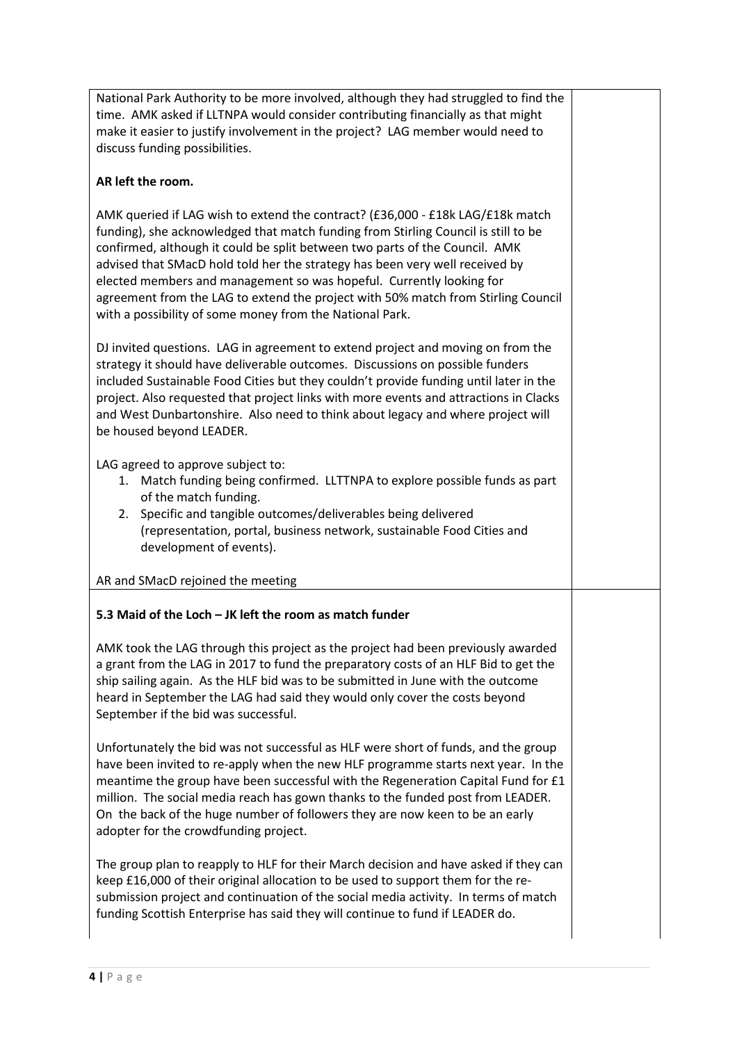National Park Authority to be more involved, although they had struggled to find the time. AMK asked if LLTNPA would consider contributing financially as that might make it easier to justify involvement in the project? LAG member would need to discuss funding possibilities.

### AR left the room.

AMK queried if LAG wish to extend the contract? (£36,000 - £18k LAG/£18k match funding), she acknowledged that match funding from Stirling Council is still to be confirmed, although it could be split between two parts of the Council. AMK advised that SMacD hold told her the strategy has been very well received by elected members and management so was hopeful. Currently looking for agreement from the LAG to extend the project with 50% match from Stirling Council with a possibility of some money from the National Park.

DJ invited questions. LAG in agreement to extend project and moving on from the strategy it should have deliverable outcomes. Discussions on possible funders included Sustainable Food Cities but they couldn't provide funding until later in the project. Also requested that project links with more events and attractions in Clacks and West Dunbartonshire. Also need to think about legacy and where project will be housed beyond LEADER.

LAG agreed to approve subject to:

- 1. Match funding being confirmed. LLTTNPA to explore possible funds as part of the match funding.
- 2. Specific and tangible outcomes/deliverables being delivered (representation, portal, business network, sustainable Food Cities and development of events).

#### AR and SMacD rejoined the meeting

## 5.3 Maid of the Loch – JK left the room as match funder

AMK took the LAG through this project as the project had been previously awarded a grant from the LAG in 2017 to fund the preparatory costs of an HLF Bid to get the ship sailing again. As the HLF bid was to be submitted in June with the outcome heard in September the LAG had said they would only cover the costs beyond September if the bid was successful.

Unfortunately the bid was not successful as HLF were short of funds, and the group have been invited to re-apply when the new HLF programme starts next year. In the meantime the group have been successful with the Regeneration Capital Fund for £1 million. The social media reach has gown thanks to the funded post from LEADER. On the back of the huge number of followers they are now keen to be an early adopter for the crowdfunding project.

The group plan to reapply to HLF for their March decision and have asked if they can keep £16,000 of their original allocation to be used to support them for the resubmission project and continuation of the social media activity. In terms of match funding Scottish Enterprise has said they will continue to fund if LEADER do.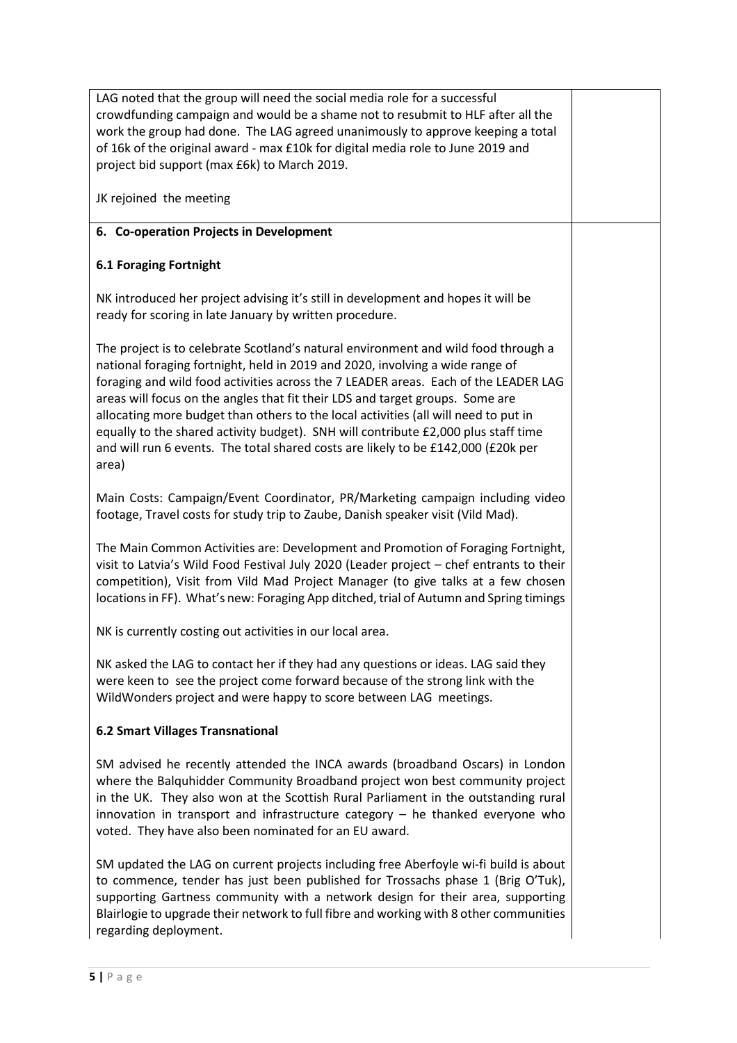LAG noted that the group will need the social media role for a successful crowdfunding campaign and would be a shame not to resubmit to HLF after all the work the group had done. The LAG agreed unanimously to approve keeping a total of 16k of the original award - max £10k for digital media role to June 2019 and project bid support (max £6k) to March 2019.

JK rejoined the meeting

# 6. Co-operation Projects in Development

# 6.1 Foraging Fortnight

NK introduced her project advising it's still in development and hopes it will be ready for scoring in late January by written procedure.

The project is to celebrate Scotland's natural environment and wild food through a national foraging fortnight, held in 2019 and 2020, involving a wide range of foraging and wild food activities across the 7 LEADER areas. Each of the LEADER LAG areas will focus on the angles that fit their LDS and target groups. Some are allocating more budget than others to the local activities (all will need to put in equally to the shared activity budget). SNH will contribute £2,000 plus staff time and will run 6 events. The total shared costs are likely to be £142,000 (£20k per area)

Main Costs: Campaign/Event Coordinator, PR/Marketing campaign including video footage, Travel costs for study trip to Zaube, Danish speaker visit (Vild Mad).

The Main Common Activities are: Development and Promotion of Foraging Fortnight, visit to Latvia's Wild Food Festival July 2020 (Leader project – chef entrants to their competition), Visit from Vild Mad Project Manager (to give talks at a few chosen locations in FF). What's new: Foraging App ditched, trial of Autumn and Spring timings

NK is currently costing out activities in our local area.

NK asked the LAG to contact her if they had any questions or ideas. LAG said they were keen to see the project come forward because of the strong link with the WildWonders project and were happy to score between LAG meetings.

## 6.2 Smart Villages Transnational

SM advised he recently attended the INCA awards (broadband Oscars) in London where the Balquhidder Community Broadband project won best community project in the UK. They also won at the Scottish Rural Parliament in the outstanding rural innovation in transport and infrastructure category – he thanked everyone who voted. They have also been nominated for an EU award.

SM updated the LAG on current projects including free Aberfoyle wi-fi build is about to commence, tender has just been published for Trossachs phase 1 (Brig O'Tuk), supporting Gartness community with a network design for their area, supporting Blairlogie to upgrade their network to full fibre and working with 8 other communities regarding deployment.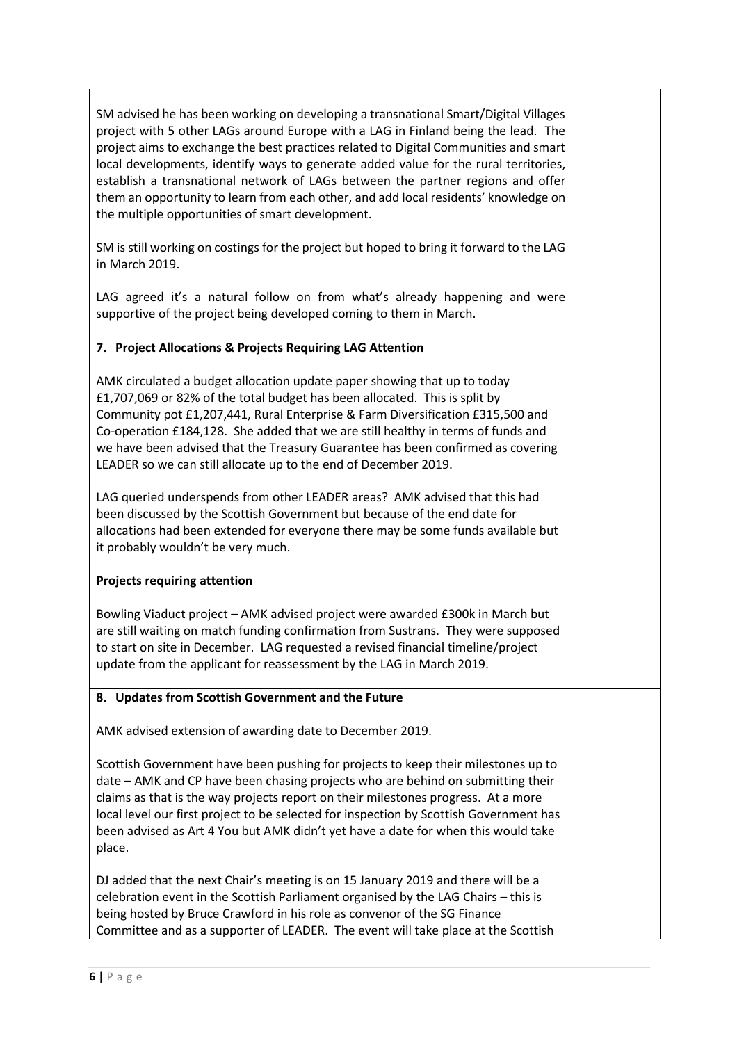| SM advised he has been working on developing a transnational Smart/Digital Villages<br>project with 5 other LAGs around Europe with a LAG in Finland being the lead. The<br>project aims to exchange the best practices related to Digital Communities and smart<br>local developments, identify ways to generate added value for the rural territories,<br>establish a transnational network of LAGs between the partner regions and offer<br>them an opportunity to learn from each other, and add local residents' knowledge on<br>the multiple opportunities of smart development. |  |
|----------------------------------------------------------------------------------------------------------------------------------------------------------------------------------------------------------------------------------------------------------------------------------------------------------------------------------------------------------------------------------------------------------------------------------------------------------------------------------------------------------------------------------------------------------------------------------------|--|
| SM is still working on costings for the project but hoped to bring it forward to the LAG<br>in March 2019.                                                                                                                                                                                                                                                                                                                                                                                                                                                                             |  |
| LAG agreed it's a natural follow on from what's already happening and were<br>supportive of the project being developed coming to them in March.                                                                                                                                                                                                                                                                                                                                                                                                                                       |  |
| 7. Project Allocations & Projects Requiring LAG Attention                                                                                                                                                                                                                                                                                                                                                                                                                                                                                                                              |  |
| AMK circulated a budget allocation update paper showing that up to today<br>£1,707,069 or 82% of the total budget has been allocated. This is split by<br>Community pot £1,207,441, Rural Enterprise & Farm Diversification £315,500 and<br>Co-operation £184,128. She added that we are still healthy in terms of funds and<br>we have been advised that the Treasury Guarantee has been confirmed as covering<br>LEADER so we can still allocate up to the end of December 2019.                                                                                                     |  |
| LAG queried underspends from other LEADER areas? AMK advised that this had<br>been discussed by the Scottish Government but because of the end date for<br>allocations had been extended for everyone there may be some funds available but<br>it probably wouldn't be very much.                                                                                                                                                                                                                                                                                                      |  |
| <b>Projects requiring attention</b>                                                                                                                                                                                                                                                                                                                                                                                                                                                                                                                                                    |  |
| Bowling Viaduct project - AMK advised project were awarded £300k in March but<br>are still waiting on match funding confirmation from Sustrans. They were supposed<br>to start on site in December. LAG requested a revised financial timeline/project<br>update from the applicant for reassessment by the LAG in March 2019.                                                                                                                                                                                                                                                         |  |
| 8. Updates from Scottish Government and the Future                                                                                                                                                                                                                                                                                                                                                                                                                                                                                                                                     |  |
| AMK advised extension of awarding date to December 2019.                                                                                                                                                                                                                                                                                                                                                                                                                                                                                                                               |  |
| Scottish Government have been pushing for projects to keep their milestones up to<br>date - AMK and CP have been chasing projects who are behind on submitting their<br>claims as that is the way projects report on their milestones progress. At a more<br>local level our first project to be selected for inspection by Scottish Government has<br>been advised as Art 4 You but AMK didn't yet have a date for when this would take<br>place.                                                                                                                                     |  |
| DJ added that the next Chair's meeting is on 15 January 2019 and there will be a<br>celebration event in the Scottish Parliament organised by the LAG Chairs - this is<br>being hosted by Bruce Crawford in his role as convenor of the SG Finance<br>Committee and as a supporter of LEADER. The event will take place at the Scottish                                                                                                                                                                                                                                                |  |